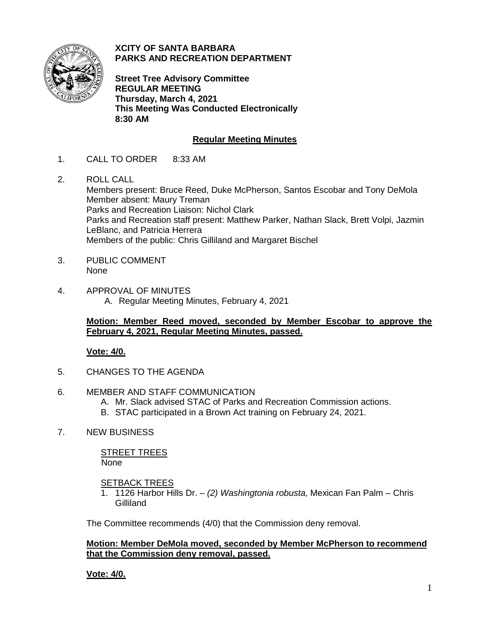

**XCITY OF SANTA BARBARA PARKS AND RECREATION DEPARTMENT**

**Street Tree Advisory Committee REGULAR MEETING Thursday, March 4, 2021 This Meeting Was Conducted Electronically 8:30 AM**

# **Regular Meeting Minutes**

- 1. CALL TO ORDER 8:33 AM
- 2. ROLL CALL Members present: Bruce Reed, Duke McPherson, Santos Escobar and Tony DeMola Member absent: Maury Treman Parks and Recreation Liaison: Nichol Clark Parks and Recreation staff present: Matthew Parker, Nathan Slack, Brett Volpi, Jazmin LeBlanc, and Patricia Herrera Members of the public: Chris Gilliland and Margaret Bischel
- 3. PUBLIC COMMENT None
- 4. APPROVAL OF MINUTES A. Regular Meeting Minutes, February 4, 2021

## **Motion: Member Reed moved, seconded by Member Escobar to approve the February 4, 2021, Regular Meeting Minutes, passed.**

## **Vote: 4/0.**

- 5. CHANGES TO THE AGENDA
- 6. MEMBER AND STAFF COMMUNICATION
	- A. Mr. Slack advised STAC of Parks and Recreation Commission actions.
	- B. STAC participated in a Brown Act training on February 24, 2021.
- 7. NEW BUSINESS

STREET TREES None

## SETBACK TREES

1. 1126 Harbor Hills Dr. – *(2) Washingtonia robusta,* Mexican Fan Palm – Chris Gilliland

The Committee recommends (4/0) that the Commission deny removal.

#### **Motion: Member DeMola moved, seconded by Member McPherson to recommend that the Commission deny removal, passed.**

**Vote: 4/0.**